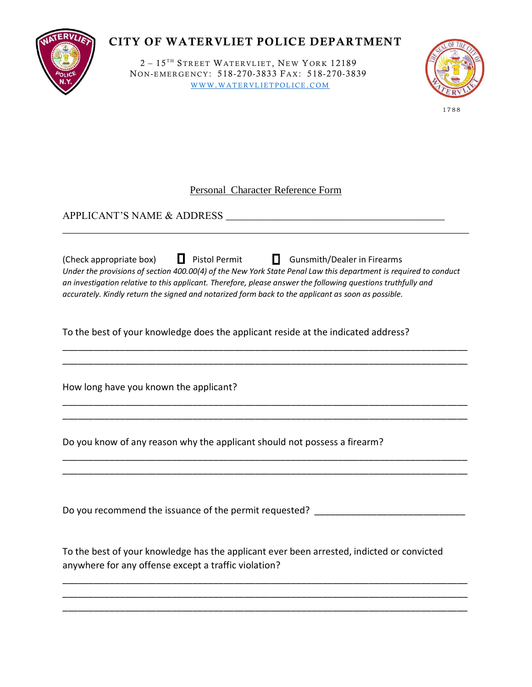

## **CITY OF WATERVLIET POLICE DEPARTMENT**

 $2 - 15<sup>TH</sup>$  STREET WATERVLIET, NEW YORK 12189 NON-EMERGENCY: 518-270-3833 FAX: 518-270-3839 WWW.WATERVLIETPOLICE.COM



17 88

## Personal Character Reference Form

APPLICANT'S NAME & ADDRESS \_\_\_\_\_\_\_\_\_\_\_\_\_\_\_\_\_\_\_\_\_\_\_\_\_\_\_\_\_\_\_\_\_\_\_\_\_\_\_\_\_\_

| (Check appropriate box) ■ Pistol Permit<br><b>Gunsmith/Dealer in Firearms</b><br>Under the provisions of section 400.00(4) of the New York State Penal Law this department is required to conduct<br>an investigation relative to this applicant. Therefore, please answer the following questions truthfully and<br>accurately. Kindly return the signed and notarized form back to the applicant as soon as possible. |  |  |
|-------------------------------------------------------------------------------------------------------------------------------------------------------------------------------------------------------------------------------------------------------------------------------------------------------------------------------------------------------------------------------------------------------------------------|--|--|
| To the best of your knowledge does the applicant reside at the indicated address?                                                                                                                                                                                                                                                                                                                                       |  |  |
|                                                                                                                                                                                                                                                                                                                                                                                                                         |  |  |
| How long have you known the applicant?                                                                                                                                                                                                                                                                                                                                                                                  |  |  |
|                                                                                                                                                                                                                                                                                                                                                                                                                         |  |  |
| Do you know of any reason why the applicant should not possess a firearm?                                                                                                                                                                                                                                                                                                                                               |  |  |
|                                                                                                                                                                                                                                                                                                                                                                                                                         |  |  |
|                                                                                                                                                                                                                                                                                                                                                                                                                         |  |  |

Do you recommend the issuance of the permit requested? \_\_\_\_\_\_\_\_\_\_\_\_\_\_\_\_\_\_\_\_\_\_\_\_\_

To the best of your knowledge has the applicant ever been arrested, indicted or convicted anywhere for any offense except a traffic violation?

\_\_\_\_\_\_\_\_\_\_\_\_\_\_\_\_\_\_\_\_\_\_\_\_\_\_\_\_\_\_\_\_\_\_\_\_\_\_\_\_\_\_\_\_\_\_\_\_\_\_\_\_\_\_\_\_\_\_\_\_\_\_\_\_\_\_\_\_\_\_\_\_\_\_\_\_\_\_ \_\_\_\_\_\_\_\_\_\_\_\_\_\_\_\_\_\_\_\_\_\_\_\_\_\_\_\_\_\_\_\_\_\_\_\_\_\_\_\_\_\_\_\_\_\_\_\_\_\_\_\_\_\_\_\_\_\_\_\_\_\_\_\_\_\_\_\_\_\_\_\_\_\_\_\_\_\_ \_\_\_\_\_\_\_\_\_\_\_\_\_\_\_\_\_\_\_\_\_\_\_\_\_\_\_\_\_\_\_\_\_\_\_\_\_\_\_\_\_\_\_\_\_\_\_\_\_\_\_\_\_\_\_\_\_\_\_\_\_\_\_\_\_\_\_\_\_\_\_\_\_\_\_\_\_\_